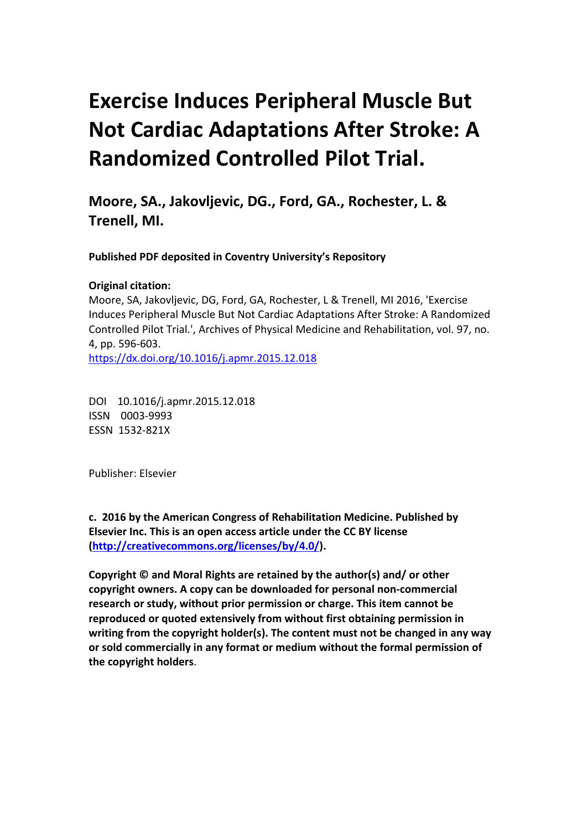# **Exercise Induces Peripheral Muscle But Not Cardiac Adaptations After Stroke: A Randomized Controlled Pilot Trial.**

**Moore, SA., Jakovljevic, DG., Ford, GA., Rochester, L. & Trenell, MI.** 

**Published PDF deposited in Coventry University's Repository** 

## **Original citation:**

Moore, SA, Jakovljevic, DG, Ford, GA, Rochester, L & Trenell, MI 2016, 'Exercise Induces Peripheral Muscle But Not Cardiac Adaptations After Stroke: A Randomized Controlled Pilot Trial.', Archives of Physical Medicine and Rehabilitation, vol. 97, no. 4, pp. 596-603.

https://dx.doi.org/10.1016/j.apmr.2015.12.018

 DOI 10.1016/j.apmr.2015.12.018 ISSN 0003-9993 ESSN 1532-821X

Publisher: Elsevier

**c. 2016 by the American Congress of Rehabilitation Medicine. Published by Elsevier Inc. This is an open access article under the CC BY license [\(http://creativecommons.org/licenses/by/4.0/\)](http://creativecommons.org/licenses/by/4.0/).** 

**Copyright © and Moral Rights are retained by the author(s) and/ or other copyright owners. A copy can be downloaded for personal non-commercial research or study, without prior permission or charge. This item cannot be reproduced or quoted extensively from without first obtaining permission in writing from the copyright holder(s). The content must not be changed in any way or sold commercially in any format or medium without the formal permission of the copyright holders**.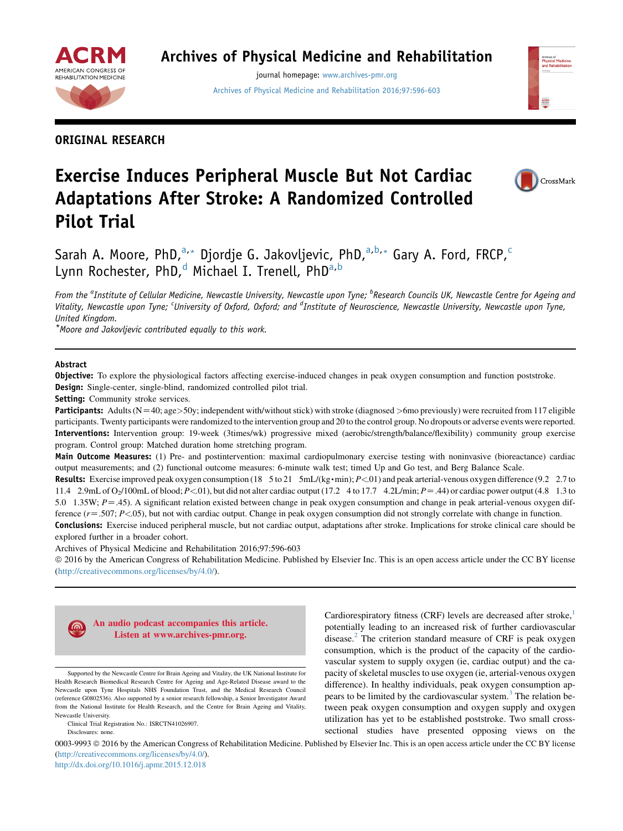

## Archives of Physical Medicine and Rehabilitation

journal homepage: [www.archives-pmr.org](http://www.archives-pmr.org) Archives of Physical Medicine and Rehabilitation [2016;97:596-603](http://dx.doi.org/10.1016/j.apmr.2015.12.018)



ORIGINAL RESEARCH

## Exercise Induces Peripheral Muscle But Not Cardiac Adaptations After Stroke: A Randomized Controlled Pilot Trial



Sarah A. Moore, PhD,<sup>a,\*</sup> Djordje G. Jakovljevic, PhD,<sup>a,b,\*</sup> Gary A. Ford, FRCP,<sup>c</sup> Lynn Rochester, PhD,<sup>d</sup> Michael I. Trenell, PhD<sup>a,b</sup>

From the <sup>a</sup>Institute of Cellular Medicine, Newcastle University, Newcastle upon Tyne; <sup>b</sup>Research Councils UK, Newcastle Centre for Ageing and Vitality, Newcastle upon Tyne; <sup>c</sup>University of Oxford, Oxford; and <sup>d</sup>Institute of Neuroscience, Newcastle University, Newcastle upon Tyne, United Kingdom.

\*Moore and Jakovljevic contributed equally to this work.

#### Abstract

Objective: To explore the physiological factors affecting exercise-induced changes in peak oxygen consumption and function poststroke. Design: Single-center, single-blind, randomized controlled pilot trial.

Setting: Community stroke services.

Participants: Adults (N=40; age>50y; independent with/without stick) with stroke (diagnosed >6mo previously) were recruited from 117 eligible participants. Twenty participants were randomized to the intervention group and 20 to the control group. No dropouts or adverse events were reported. Interventions: Intervention group: 19-week (3times/wk) progressive mixed (aerobic/strength/balance/flexibility) community group exercise program. Control group: Matched duration home stretching program.

Main Outcome Measures: (1) Pre- and postintervention: maximal cardiopulmonary exercise testing with noninvasive (bioreactance) cardiac output measurements; and (2) functional outcome measures: 6-minute walk test; timed Up and Go test, and Berg Balance Scale.

Results: Exercise improved peak oxygen consumption (18 5 to 21 5mL/(kg·min);  $P < 01$ ) and peak arterial-venous oxygen difference (9.2 2.7 to 11.4 2.9mL of O<sub>2</sub>/100mL of blood;  $P < 01$ ), but did not alter cardiac output (17.2 4 to 17.7 4.2L/min;  $P = .44$ ) or cardiac power output (4.8 1.3 to 5.0 1.35W; P=.45). A significant relation existed between change in peak oxygen consumption and change in peak arterial-venous oxygen difference  $(r=.507; P<.05)$ , but not with cardiac output. Change in peak oxygen consumption did not strongly correlate with change in function.

Conclusions: Exercise induced peripheral muscle, but not cardiac output, adaptations after stroke. Implications for stroke clinical care should be explored further in a broader cohort.

Archives of Physical Medicine and Rehabilitation 2016;97:596-603

ª 2016 by the American Congress of Rehabilitation Medicine. Published by Elsevier Inc. This is an open access article under the CC BY license [\(http://creativecommons.org/licenses/by/4.0/](http://creativecommons.org/licenses/by/4.0/)).



An audio podcast accompanies this article. Listen at [www.archives-pmr.org.](http://www.archives-pmr.org)

Cardiorespiratory fitness (CRF) levels are decreased after stroke, potentially leading to an increased risk of further cardiovascular disease. $<sup>2</sup>$  $<sup>2</sup>$  $<sup>2</sup>$  The criterion standard measure of CRF is peak oxygen</sup> consumption, which is the product of the capacity of the cardiovascular system to supply oxygen (ie, cardiac output) and the ca-Supported by the Newcastle Centre for Brain Ageing and Vitality, the UK National Institute for pacity of skeletal muscles to use oxygen (ie, arterial-venous oxygen Health Research Biomedical Research Centre for Ageing and pears to be limited by the cardiovascular system.<sup>[3](#page-7-0)</sup> The relation befrom the National Institute for Health Research, and the Centre for Brain Ageing and Vitality, tween peak oxygen consumption and oxygen supply and oxygen Newcastle University.<br>Clinical Trial Registration No.: ISRCTN4102690 Disclosures: none. Sectional studies have presented opposing views on the Disclosures: none.

0003-9993 @ 2016 by the American Congress of Rehabilitation Medicine. Published by Elsevier Inc. This is an open access article under the CC BY license [\(http://creativecommons.org/licenses/by/4.0/\)](http://creativecommons.org/licenses/by/4.0/).

<http://dx.doi.org/10.1016/j.apmr.2015.12.018>

Health Research Biomedical Research Centre for Ageing and Age-Related Disease award to the<br>Newcastle upon Tyne Hospitals NHS Foundation Trust, and the Medical Research Council difference). In healthy individuals, peak oxyg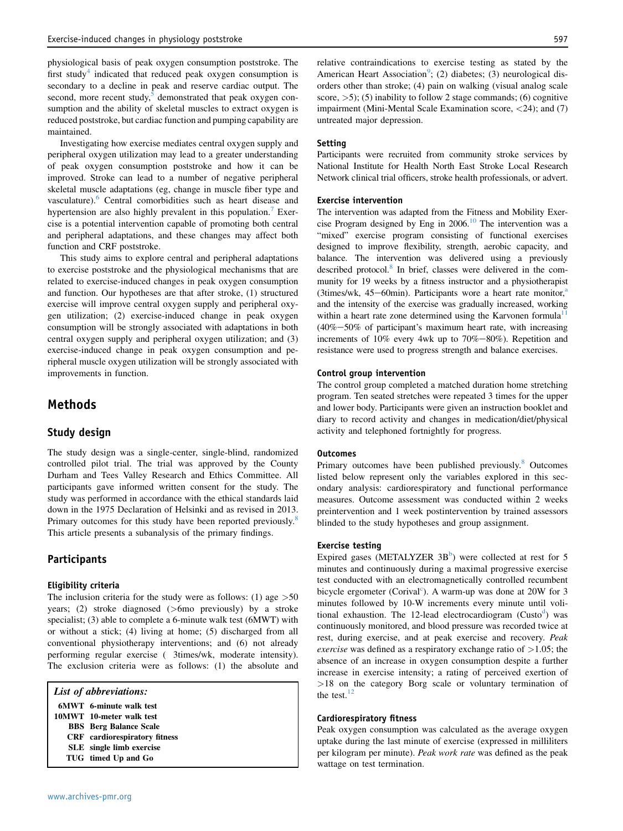physiological basis of peak oxygen consumption poststroke. The first study<sup>[4](#page-7-0)</sup> indicated that reduced peak oxygen consumption is secondary to a decline in peak and reserve cardiac output. The second, more recent study, $5$  demonstrated that peak oxygen consumption and the ability of skeletal muscles to extract oxygen is reduced poststroke, but cardiac function and pumping capability are maintained.

Investigating how exercise mediates central oxygen supply and peripheral oxygen utilization may lead to a greater understanding of peak oxygen consumption poststroke and how it can be improved. Stroke can lead to a number of negative peripheral skeletal muscle adaptations (eg, change in muscle fiber type and vasculature).<sup>[6](#page-7-0)</sup> Central comorbidities such as heart disease and hypertension are also highly prevalent in this population.<sup>[7](#page-7-0)</sup> Exercise is a potential intervention capable of promoting both central and peripheral adaptations, and these changes may affect both function and CRF poststroke.

This study aims to explore central and peripheral adaptations to exercise poststroke and the physiological mechanisms that are related to exercise-induced changes in peak oxygen consumption and function. Our hypotheses are that after stroke, (1) structured exercise will improve central oxygen supply and peripheral oxygen utilization; (2) exercise-induced change in peak oxygen consumption will be strongly associated with adaptations in both central oxygen supply and peripheral oxygen utilization; and (3) exercise-induced change in peak oxygen consumption and peripheral muscle oxygen utilization will be strongly associated with improvements in function.

## Methods

#### Study design

The study design was a single-center, single-blind, randomized controlled pilot trial. The trial was approved by the County Durham and Tees Valley Research and Ethics Committee. All participants gave informed written consent for the study. The study was performed in accordance with the ethical standards laid down in the 1975 Declaration of Helsinki and as revised in 2013. Primary outcomes for this study have been reported previously.<sup>[8](#page-7-0)</sup> This article presents a subanalysis of the primary findings.

### Participants

#### Eligibility criteria

 performing regular exercise ( 3times/wk, moderate intensity). The inclusion criteria for the study were as follows: (1) age  $>50$ years; (2) stroke diagnosed (>6mo previously) by a stroke specialist; (3) able to complete a 6-minute walk test (6MWT) with or without a stick; (4) living at home; (5) discharged from all conventional physiotherapy interventions; and (6) not already The exclusion criteria were as follows: (1) the absolute and

| List of abbreviations: |                                      |  |  |  |
|------------------------|--------------------------------------|--|--|--|
|                        | <b>6MWT</b> 6-minute walk test       |  |  |  |
|                        | 10MWT 10-meter walk test             |  |  |  |
|                        | <b>BBS</b> Berg Balance Scale        |  |  |  |
|                        | <b>CRF</b> cardiorespiratory fitness |  |  |  |
|                        | <b>SLE</b> single limb exercise      |  |  |  |
|                        | TUG timed Up and Go                  |  |  |  |

relative contraindications to exercise testing as stated by the American Heart Association<sup>[9](#page-7-0)</sup>; (2) diabetes; (3) neurological disorders other than stroke; (4) pain on walking (visual analog scale score,  $>5$ ); (5) inability to follow 2 stage commands; (6) cognitive impairment (Mini-Mental Scale Examination score, <24); and (7) untreated major depression.

#### Setting

Participants were recruited from community stroke services by National Institute for Health North East Stroke Local Research Network clinical trial officers, stroke health professionals, or advert.

#### Exercise intervention

The intervention was adapted from the Fitness and Mobility Exercise Program designed by Eng in  $2006$ .<sup>[10](#page-7-0)</sup> The intervention was a "mixed" exercise program consisting of functional exercises designed to improve flexibility, strength, aerobic capacity, and balance. The intervention was delivered using a previously described protocol.<sup>8</sup> In brief, classes were delivered in the community for 19 weeks by a fitness instructor and a physiotherapist (3times/wk, 45-60min). Participants wore a heart rate monitor, $a$ and the intensity of the exercise was gradually increased, working within a heart rate zone determined using the Karvonen formula<sup>11</sup>  $(40\% - 50\%$  of participant's maximum heart rate, with increasing increments of  $10\%$  every 4wk up to  $70\% - 80\%$ ). Repetition and resistance were used to progress strength and balance exercises.

#### Control group intervention

The control group completed a matched duration home stretching program. Ten seated stretches were repeated 3 times for the upper and lower body. Participants were given an instruction booklet and diary to record activity and changes in medication/diet/physical activity and telephoned fortnightly for progress.

#### **Outcomes**

Primary outcomes have been published previously.<sup>[8](#page-7-0)</sup> Outcomes listed below represent only the variables explored in this secondary analysis: cardiorespiratory and functional performance measures. Outcome assessment was conducted within 2 weeks preintervention and 1 week postintervention by trained assessors blinded to the study hypotheses and group assignment.

#### Exercise testing

Expired gases (METALYZER  $3B^b$  $3B^b$ ) were collected at rest for 5 minutes and continuously during a maximal progressive exercise test conducted with an electromagnetically controlled recumbent bi[c](#page-7-0)ycle ergometer (Corival<sup>c</sup>). A warm-up was done at 20W for 3 minutes followed by 10-W increments every minute until volitional exhaustion. The 12-lea[d](#page-7-0) electrocardiogram (Custo<sup>d</sup>) was continuously monitored, and blood pressure was recorded twice at rest, during exercise, and at peak exercise and recovery. Peak *exercise* was defined as a respiratory exchange ratio of  $>1.05$ ; the absence of an increase in oxygen consumption despite a further increase in exercise intensity; a rating of perceived exertion of >18 on the category Borg scale or voluntary termination of the test. $12$ 

#### Cardiorespiratory fitness

Peak oxygen consumption was calculated as the average oxygen uptake during the last minute of exercise (expressed in milliliters per kilogram per minute). Peak work rate was defined as the peak wattage on test termination.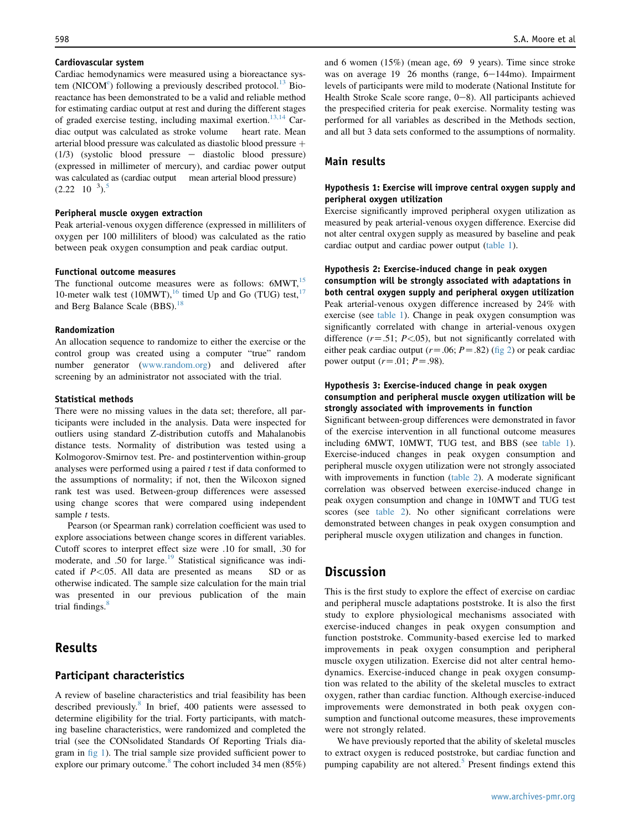#### Cardiovascular system

 diac output was calculated as stroke volume heart rate. Mean was calculated as (cardiac output mean arterial blood pressure)  $(2.22 \quad 10^{-3})$ .<sup>[5](#page-7-0)</sup> Cardiac hemodynamics were measured using a bioreactance syst[e](#page-7-0)m (NICOM<sup>e</sup>) following a previously described protocol.<sup>[13](#page-7-0)</sup> Bioreactance has been demonstrated to be a valid and reliable method for estimating cardiac output at rest and during the different stages of graded exercise testing, including maximal exertion.<sup>[13,14](#page-7-0)</sup> Cararterial blood pressure was calculated as diastolic blood pressure  $+$ (1/3) (systolic blood pressure - diastolic blood pressure) (expressed in millimeter of mercury), and cardiac power output

#### Peripheral muscle oxygen extraction

Peak arterial-venous oxygen difference (expressed in milliliters of oxygen per 100 milliliters of blood) was calculated as the ratio between peak oxygen consumption and peak cardiac output.

#### Functional outcome measures

The functional outcome measures were as follows:  $6MWT<sub>15</sub>$  $6MWT<sub>15</sub>$  $6MWT<sub>15</sub>$ 10-meter walk test (10MWT), $^{16}$  $^{16}$  $^{16}$  timed Up and Go (TUG) test, $^{17}$  $^{17}$  $^{17}$ and Berg Balance Scale (BBS).<sup>[18](#page-7-0)</sup>

#### Randomization

An allocation sequence to randomize to either the exercise or the control group was created using a computer "true" random number generator [\(www.random.org\)](http://www.random.org) and delivered after screening by an administrator not associated with the trial.

#### Statistical methods

There were no missing values in the data set; therefore, all participants were included in the analysis. Data were inspected for outliers using standard Z-distribution cutoffs and Mahalanobis distance tests. Normality of distribution was tested using a Kolmogorov-Smirnov test. Pre- and postintervention within-group analyses were performed using a paired  $t$  test if data conformed to the assumptions of normality; if not, then the Wilcoxon signed rank test was used. Between-group differences were assessed using change scores that were compared using independent sample t tests.

Pearson (or Spearman rank) correlation coefficient was used to explore associations between change scores in different variables. Cutoff scores to interpret effect size were .10 for small, .30 for moderate, and .50 for large.<sup>[19](#page-7-0)</sup> Statistical significance was indicated if  $P < 0.05$ . All data are presented as means SD or as otherwise indicated. The sample size calculation for the main trial was presented in our previous publication of the main trial findings. $\frac{8}{3}$ 

## Results

#### Participant characteristics

A review of baseline characteristics and trial feasibility has been described previously.<sup>[8](#page-7-0)</sup> In brief, 400 patients were assessed to determine eligibility for the trial. Forty participants, with matching baseline characteristics, were randomized and completed the trial (see the CONsolidated Standards Of Reporting Trials diagram in [fig](#page-4-0) 1). The trial sample size provided sufficient power to explore our primary outcome.<sup>[8](#page-7-0)</sup> The cohort included 34 men  $(85%)$ 

 and 6 women (15%) (mean age, 69 9 years). Time since stroke was on average  $19$  26 months (range,  $6-144$ mo). Impairment levels of participants were mild to moderate (National Institute for Health Stroke Scale score range, 0-8). All participants achieved the prespecified criteria for peak exercise. Normality testing was performed for all variables as described in the Methods section, and all but 3 data sets conformed to the assumptions of normality.

#### Main results

#### Hypothesis 1: Exercise will improve central oxygen supply and peripheral oxygen utilization

Exercise significantly improved peripheral oxygen utilization as measured by peak arterial-venous oxygen difference. Exercise did not alter central oxygen supply as measured by baseline and peak cardiac output and cardiac power output ([table](#page-5-0) 1).

#### Hypothesis 2: Exercise-induced change in peak oxygen

consumption will be strongly associated with adaptations in both central oxygen supply and peripheral oxygen utilization Peak arterial-venous oxygen difference increased by 24% with exercise (see [table](#page-5-0) 1). Change in peak oxygen consumption was significantly correlated with change in arterial-venous oxygen difference  $(r=.51; P<.05)$ , but not significantly correlated with either peak cardiac output ( $r = .06$ ;  $P = .82$ ) ([fig](#page-6-0) 2) or peak cardiac power output  $(r=0.01; P=.98)$ .

#### Hypothesis 3: Exercise-induced change in peak oxygen consumption and peripheral muscle oxygen utilization will be strongly associated with improvements in function

Significant between-group differences were demonstrated in favor of the exercise intervention in all functional outcome measures including 6MWT, 10MWT, TUG test, and BBS (see [table](#page-5-0) 1). Exercise-induced changes in peak oxygen consumption and peripheral muscle oxygen utilization were not strongly associated with improvements in function [\(table](#page-6-0) 2). A moderate significant correlation was observed between exercise-induced change in peak oxygen consumption and change in 10MWT and TUG test scores (see [table](#page-6-0) 2). No other significant correlations were demonstrated between changes in peak oxygen consumption and peripheral muscle oxygen utilization and changes in function.

## **Discussion**

This is the first study to explore the effect of exercise on cardiac and peripheral muscle adaptations poststroke. It is also the first study to explore physiological mechanisms associated with exercise-induced changes in peak oxygen consumption and function poststroke. Community-based exercise led to marked improvements in peak oxygen consumption and peripheral muscle oxygen utilization. Exercise did not alter central hemodynamics. Exercise-induced change in peak oxygen consumption was related to the ability of the skeletal muscles to extract oxygen, rather than cardiac function. Although exercise-induced improvements were demonstrated in both peak oxygen consumption and functional outcome measures, these improvements were not strongly related.

We have previously reported that the ability of skeletal muscles to extract oxygen is reduced poststroke, but cardiac function and pumping capability are not altered.<sup>[5](#page-7-0)</sup> Present findings extend this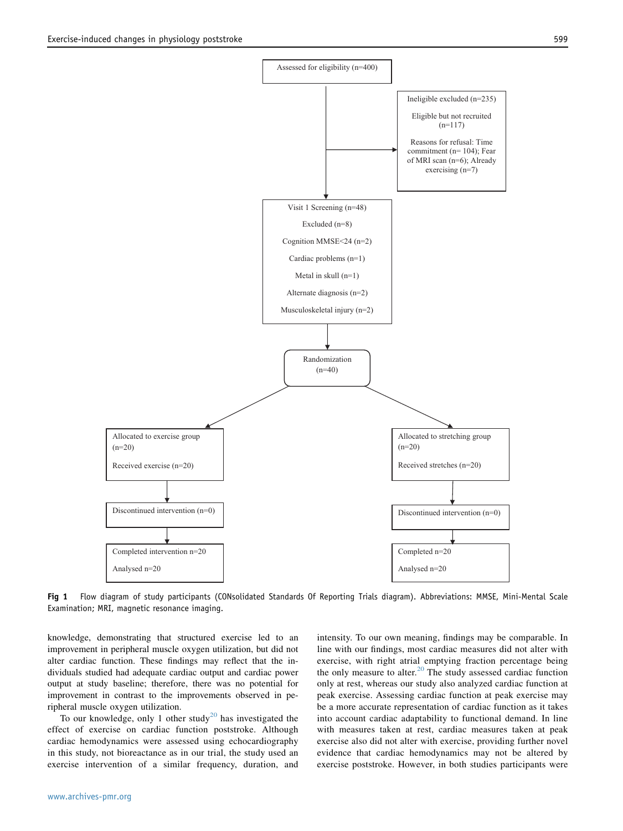<span id="page-4-0"></span>

Fig 1 Flow diagram of study participants (CONsolidated Standards Of Reporting Trials diagram). Abbreviations: MMSE, Mini-Mental Scale Examination; MRI, magnetic resonance imaging.

knowledge, demonstrating that structured exercise led to an improvement in peripheral muscle oxygen utilization, but did not alter cardiac function. These findings may reflect that the individuals studied had adequate cardiac output and cardiac power output at study baseline; therefore, there was no potential for improvement in contrast to the improvements observed in peripheral muscle oxygen utilization.

To our knowledge, only 1 other study<sup>[20](#page-7-0)</sup> has investigated the effect of exercise on cardiac function poststroke. Although cardiac hemodynamics were assessed using echocardiography in this study, not bioreactance as in our trial, the study used an exercise intervention of a similar frequency, duration, and intensity. To our own meaning, findings may be comparable. In line with our findings, most cardiac measures did not alter with exercise, with right atrial emptying fraction percentage being the only measure to alter. $20$  The study assessed cardiac function only at rest, whereas our study also analyzed cardiac function at peak exercise. Assessing cardiac function at peak exercise may be a more accurate representation of cardiac function as it takes into account cardiac adaptability to functional demand. In line with measures taken at rest, cardiac measures taken at peak exercise also did not alter with exercise, providing further novel evidence that cardiac hemodynamics may not be altered by exercise poststroke. However, in both studies participants were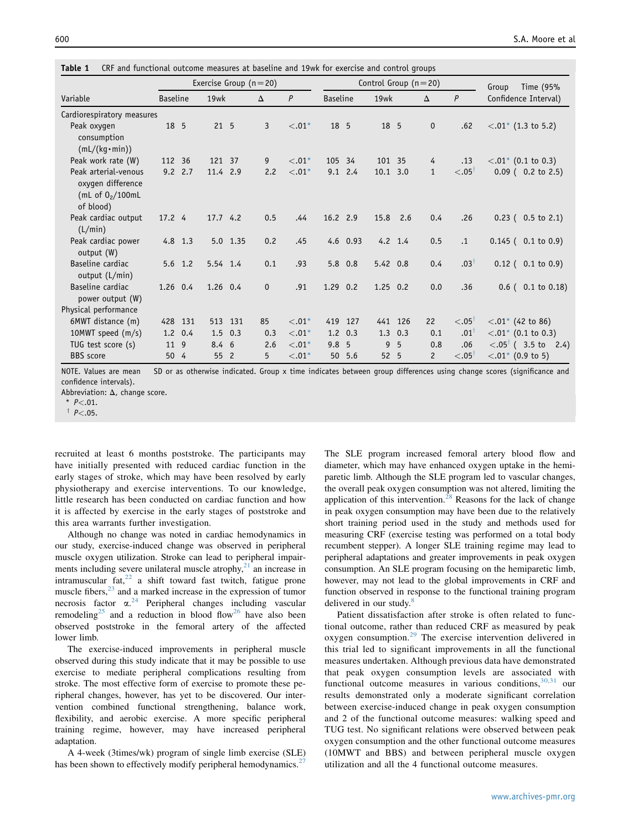<span id="page-5-0"></span>Table 1 CRF and functional outcome measures at baseline and 19wk for exercise and control groups

|                                                                               | Exercise Group $(n=20)$ |                 |                 |                 |              | Control Group $(n=20)$ |                  |           |                 | Time (95%<br>Group |                |                      |                                                       |
|-------------------------------------------------------------------------------|-------------------------|-----------------|-----------------|-----------------|--------------|------------------------|------------------|-----------|-----------------|--------------------|----------------|----------------------|-------------------------------------------------------|
| Variable                                                                      | <b>Baseline</b>         |                 | 19wk            |                 | $\Delta$     | P                      | <b>Baseline</b>  |           | 19wk            |                    | $\Delta$       | P                    | Confidence Interval)                                  |
| Cardiorespiratory measures                                                    |                         |                 |                 |                 |              |                        |                  |           |                 |                    |                |                      |                                                       |
| Peak oxygen<br>consumption<br>$(mL/(kg \cdot min))$                           | 18 5                    |                 | 21 <sub>5</sub> |                 | 3            | $< 0.01$ *             | 18 5             |           | 18 5            |                    | $\mathbf 0$    | .62                  | $< .01$ * (1.3 to 5.2)                                |
| Peak work rate (W)                                                            | 112 36                  |                 | 121 37          |                 | 9            | $-.01*$                | 105 34           |           | 101 35          |                    | 4              | .13                  | $< .01$ <sup>*</sup> (0.1 to 0.3)                     |
| Peak arterial-venous<br>oxygen difference<br>(mL of $0_2/100$ mL<br>of blood) |                         | $9.2$ 2.7       | 11.4 2.9        |                 | 2.2          | $\langle .01^*$        |                  | $9.1$ 2.4 | $10.1$ 3.0      |                    | $\mathbf{1}$   | $< .05$ <sup>T</sup> | $0.09$ ( $0.2$ to 2.5)                                |
| Peak cardiac output<br>(L/min)                                                | 17.24                   |                 | $17.7$ 4.2      |                 | 0.5          | .44                    | 16.2 2.9         |           | 15.8 2.6        |                    | 0.4            | .26                  | $0.23$ ( $0.5$ to 2.1)                                |
| Peak cardiac power<br>output (W)                                              |                         | $4.8$ 1.3       |                 | 5.0 1.35        | 0.2          | .45                    |                  | 4.6 0.93  |                 | $4.2$ 1.4          | 0.5            | $\cdot$ 1            | $0.145$ ( $0.1$ to $0.9$ )                            |
| Baseline cardiac<br>output (L/min)                                            |                         | $5.6$ 1.2       | 5.54 1.4        |                 | 0.1          | .93                    |                  | 5.8 0.8   | 5.42 0.8        |                    | 0.4            | .03 <sup>†</sup>     | $0.12$ ( $0.1$ to $0.9$ )                             |
| Baseline cardiac<br>power output (W)                                          | $1.26$ 0.4              |                 | $1.26$ 0.4      |                 | $\mathbf{0}$ | .91                    | $1.29$ 0.2       |           | $1.25$ 0.2      |                    | 0.0            | .36                  | $0.6$ ( $0.1$ to $0.18$ )                             |
| Physical performance                                                          |                         |                 |                 |                 |              |                        |                  |           |                 |                    |                |                      |                                                       |
| 6MWT distance (m)                                                             |                         | 428 131         |                 | 513 131         | 85           | $-.01*$                |                  | 419 127   |                 | 441 126            | 22             | $< .05$ <sup>T</sup> | $< .01$ * (42 to 86)                                  |
| 10MWT speed $(m/s)$                                                           |                         | $1.2 \quad 0.4$ |                 | $1.5 \quad 0.3$ | 0.3          | $\leftarrow .01*$      | 1.2              | 0.3       |                 | $1.3 \quad 0.3$    | 0.1            | $.01^{\dagger}$      | $< .01$ <sup>*</sup> (0.1 to 0.3)                     |
| TUG test score (s)                                                            | 11 9                    |                 | $8.4\t6$        |                 | 2.6          | $\langle .01 \star$    | 9.8 <sub>5</sub> |           | 9               | -5                 | 0.8            | .06                  | $< .05$ <sup><math>\degree</math></sup> ( 3.5 to 2.4) |
| <b>BBS</b> score                                                              | 50 4                    |                 | 55 2            |                 | 5            | $-.01*$                |                  | 50 5.6    | 52 <sub>5</sub> |                    | $\overline{c}$ | $< .05^{\dagger}$    | $<.01$ * (0.9 to 5)                                   |

NOTE. Values are mean SD or as otherwise indicated. Group x time indicates between group differences using change scores (significance and confidence intervals).

Abbreviation:  $\Delta$ , change score.

 $*$  P<.01.

 $\dagger$  P <.05.

recruited at least 6 months poststroke. The participants may have initially presented with reduced cardiac function in the early stages of stroke, which may have been resolved by early physiotherapy and exercise interventions. To our knowledge, little research has been conducted on cardiac function and how it is affected by exercise in the early stages of poststroke and this area warrants further investigation.

Although no change was noted in cardiac hemodynamics in our study, exercise-induced change was observed in peripheral muscle oxygen utilization. Stroke can lead to peripheral impairments including severe unilateral muscle atrophy, $2<sup>1</sup>$  an increase in intramuscular fat, $^{22}$  $^{22}$  $^{22}$  a shift toward fast twitch, fatigue prone muscle fibers,<sup>[23](#page-7-0)</sup> and a marked increase in the expression of tumor necrosis factor  $\alpha$ <sup>[24](#page-7-0)</sup> Peripheral changes including vascular remodeling<sup>[25](#page-7-0)</sup> and a reduction in blood flow<sup>[26](#page-7-0)</sup> have also been observed poststroke in the femoral artery of the affected lower limb.

The exercise-induced improvements in peripheral muscle observed during this study indicate that it may be possible to use exercise to mediate peripheral complications resulting from stroke. The most effective form of exercise to promote these peripheral changes, however, has yet to be discovered. Our intervention combined functional strengthening, balance work, flexibility, and aerobic exercise. A more specific peripheral training regime, however, may have increased peripheral adaptation.

A 4-week (3times/wk) program of single limb exercise (SLE) has been shown to effectively modify peripheral hemodynamics.<sup>2</sup>

The SLE program increased femoral artery blood flow and diameter, which may have enhanced oxygen uptake in the hemiparetic limb. Although the SLE program led to vascular changes, the overall peak oxygen consumption was not altered, limiting the application of this intervention.<sup>[28](#page-7-0)</sup> Reasons for the lack of change in peak oxygen consumption may have been due to the relatively short training period used in the study and methods used for measuring CRF (exercise testing was performed on a total body recumbent stepper). A longer SLE training regime may lead to peripheral adaptations and greater improvements in peak oxygen consumption. An SLE program focusing on the hemiparetic limb, however, may not lead to the global improvements in CRF and function observed in response to the functional training program delivered in our study. $\frac{8}{3}$  $\frac{8}{3}$  $\frac{8}{3}$ 

Patient dissatisfaction after stroke is often related to functional outcome, rather than reduced CRF as measured by peak oxygen consumption.<sup>[29](#page-7-0)</sup> The exercise intervention delivered in this trial led to significant improvements in all the functional measures undertaken. Although previous data have demonstrated that peak oxygen consumption levels are associated with functional outcome measures in various conditions,  $30,31$  our results demonstrated only a moderate significant correlation between exercise-induced change in peak oxygen consumption and 2 of the functional outcome measures: walking speed and TUG test. No significant relations were observed between peak oxygen consumption and the other functional outcome measures (10MWT and BBS) and between peripheral muscle oxygen utilization and all the 4 functional outcome measures.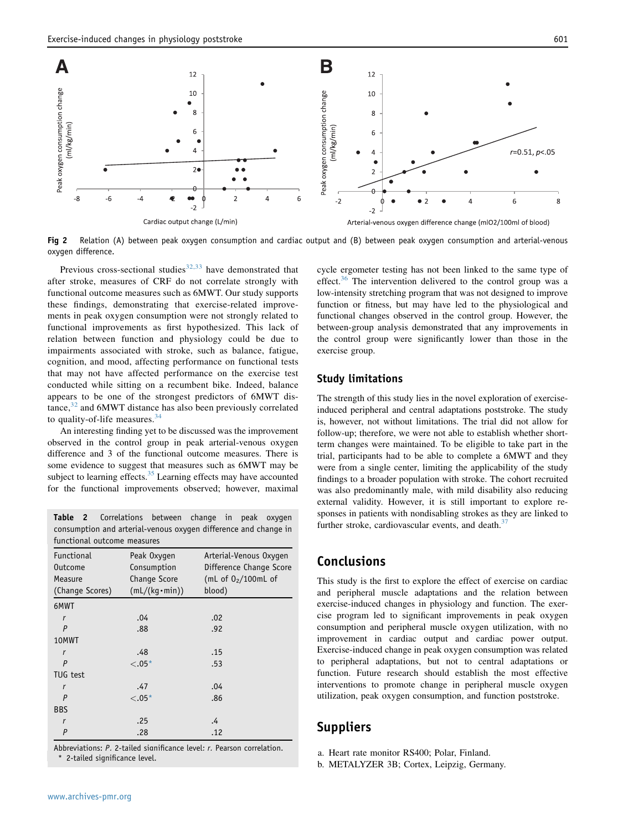<span id="page-6-0"></span>

Fig 2 Relation (A) between peak oxygen consumption and cardiac output and (B) between peak oxygen consumption and arterial-venous oxygen difference.

Previous cross-sectional studies $32,33$  have demonstrated that after stroke, measures of CRF do not correlate strongly with functional outcome measures such as 6MWT. Our study supports these findings, demonstrating that exercise-related improvements in peak oxygen consumption were not strongly related to functional improvements as first hypothesized. This lack of relation between function and physiology could be due to impairments associated with stroke, such as balance, fatigue, cognition, and mood, affecting performance on functional tests that may not have affected performance on the exercise test conducted while sitting on a recumbent bike. Indeed, balance appears to be one of the strongest predictors of 6MWT distance, $32$  and 6MWT distance has also been previously correlated to quality-of-life measures.<sup>[34](#page-7-0)</sup>

An interesting finding yet to be discussed was the improvement observed in the control group in peak arterial-venous oxygen difference and 3 of the functional outcome measures. There is some evidence to suggest that measures such as 6MWT may be subject to learning effects.<sup>[35](#page-8-0)</sup> Learning effects may have accounted for the functional improvements observed; however, maximal

|  | Table 2 Correlations between change in peak oxygen              |  |  |  |
|--|-----------------------------------------------------------------|--|--|--|
|  | consumption and arterial-venous oxygen difference and change in |  |  |  |
|  | functional outcome measures                                     |  |  |  |

| Functional      | Peak Oxygen           | Arterial-Venous Oxygen  |
|-----------------|-----------------------|-------------------------|
| <b>Outcome</b>  | Consumption           | Difference Change Score |
| Measure         | Change Score          | (mL of $02/100$ mL of   |
| (Change Scores) | $(mL/(kg \cdot min))$ | blood)                  |
| 6MWT            |                       |                         |
| r               | .04                   | .02                     |
| $\overline{P}$  | .88                   | .92                     |
| 10MWT           |                       |                         |
| r               | .48                   | .15                     |
| $\overline{P}$  | $-.05*$               | .53                     |
| TUG test        |                       |                         |
| r               | .47                   | .04                     |
| $\overline{P}$  | $-.05*$               | .86                     |
| <b>BBS</b>      |                       |                         |
| r               | .25                   | .4                      |
| P               | .28                   | .12                     |

Abbreviations: P. 2-tailed significance level: r. Pearson correlation. 2-tailed significance level.

cycle ergometer testing has not been linked to the same type of effect.<sup>[36](#page-8-0)</sup> The intervention delivered to the control group was a low-intensity stretching program that was not designed to improve function or fitness, but may have led to the physiological and functional changes observed in the control group. However, the between-group analysis demonstrated that any improvements in the control group were significantly lower than those in the exercise group.

#### Study limitations

The strength of this study lies in the novel exploration of exerciseinduced peripheral and central adaptations poststroke. The study is, however, not without limitations. The trial did not allow for follow-up; therefore, we were not able to establish whether shortterm changes were maintained. To be eligible to take part in the trial, participants had to be able to complete a 6MWT and they were from a single center, limiting the applicability of the study findings to a broader population with stroke. The cohort recruited was also predominantly male, with mild disability also reducing external validity. However, it is still important to explore responses in patients with nondisabling strokes as they are linked to further stroke, cardiovascular events, and death. $37$ 

## Conclusions

This study is the first to explore the effect of exercise on cardiac and peripheral muscle adaptations and the relation between exercise-induced changes in physiology and function. The exercise program led to significant improvements in peak oxygen consumption and peripheral muscle oxygen utilization, with no improvement in cardiac output and cardiac power output. Exercise-induced change in peak oxygen consumption was related to peripheral adaptations, but not to central adaptations or function. Future research should establish the most effective interventions to promote change in peripheral muscle oxygen utilization, peak oxygen consumption, and function poststroke.

## Suppliers

- a. Heart rate monitor RS400; Polar, Finland.
- b. METALYZER 3B; Cortex, Leipzig, Germany.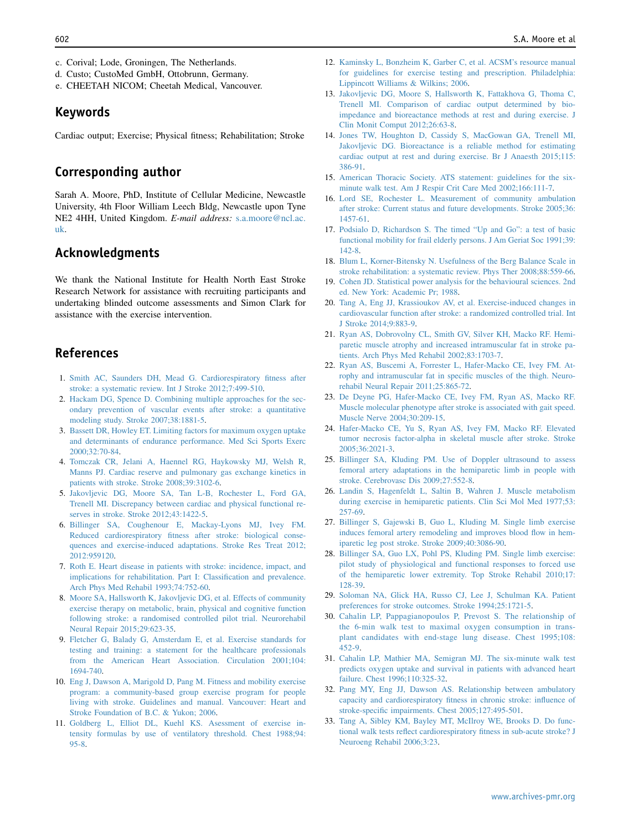- <span id="page-7-0"></span>c. Corival; Lode, Groningen, The Netherlands.
- d. Custo; CustoMed GmbH, Ottobrunn, Germany.
- e. CHEETAH NICOM; Cheetah Medical, Vancouver.

## Keywords

Cardiac output; Exercise; Physical fitness; Rehabilitation; Stroke

## Corresponding author

Sarah A. Moore, PhD, Institute of Cellular Medicine, Newcastle University, 4th Floor William Leech Bldg, Newcastle upon Tyne NE2 4HH, United Kingdom. E-mail address: [s.a.moore@ncl.ac.](mailto:s.a.moore@ncl.ac.uk) [uk](mailto:s.a.moore@ncl.ac.uk).

## Acknowledgments

We thank the National Institute for Health North East Stroke Research Network for assistance with recruiting participants and undertaking blinded outcome assessments and Simon Clark for assistance with the exercise intervention.

## References

- 1. Smith AC, Saunders DH, Mead G. [Cardiorespiratory](http://refhub.elsevier.com/S0003-9993(15)01574-9/sref1) fitness after stroke: a systematic review. Int J Stroke [2012;7:499-510](http://refhub.elsevier.com/S0003-9993(15)01574-9/sref1).
- 2. Hackam DG, Spence D. [Combining](http://refhub.elsevier.com/S0003-9993(15)01574-9/sref2) multiple approaches for the secondary prevention of vascular events after stroke: a [quantitative](http://refhub.elsevier.com/S0003-9993(15)01574-9/sref2) modeling study. Stroke [2007;38:1881-5.](http://refhub.elsevier.com/S0003-9993(15)01574-9/sref2)
- 3. Bassett DR, Howley ET. Limiting factors for [maximum](http://refhub.elsevier.com/S0003-9993(15)01574-9/sref3) oxygen uptake and determinants of endurance [performance.](http://refhub.elsevier.com/S0003-9993(15)01574-9/sref3) Med Sci Sports Exerc [2000;32:70-84](http://refhub.elsevier.com/S0003-9993(15)01574-9/sref3).
- 4. Tomczak CR, Jelani A, Haennel RG, [Haykowsky](http://refhub.elsevier.com/S0003-9993(15)01574-9/sref4) MJ, Welsh R, Manns PJ. Cardiac reserve and [pulmonary](http://refhub.elsevier.com/S0003-9993(15)01574-9/sref4) gas exchange kinetics in patients with stroke. Stroke [2008;39:3102-6](http://refhub.elsevier.com/S0003-9993(15)01574-9/sref4).
- 5. [Jakovljevic](http://refhub.elsevier.com/S0003-9993(15)01574-9/sref5) DG, Moore SA, Tan L-B, Rochester L, Ford GA, Trenell MI. [Discrepancy](http://refhub.elsevier.com/S0003-9993(15)01574-9/sref5) between cardiac and physical functional reserves in stroke. Stroke [2012;43:1422-5](http://refhub.elsevier.com/S0003-9993(15)01574-9/sref5).
- 6. Billinger SA, Coughenour E, [Mackay-Lyons](http://refhub.elsevier.com/S0003-9993(15)01574-9/sref6) MJ, Ivey FM. Reduced [cardiorespiratory](http://refhub.elsevier.com/S0003-9993(15)01574-9/sref6) fitness after stroke: biological consequences and [exercise-induced](http://refhub.elsevier.com/S0003-9993(15)01574-9/sref6) adaptations. Stroke Res Treat 2012; [2012:959120](http://refhub.elsevier.com/S0003-9993(15)01574-9/sref6).
- 7. Roth E. Heart disease in patients with stroke: [incidence,](http://refhub.elsevier.com/S0003-9993(15)01574-9/sref7) impact, and implications for [rehabilitation.](http://refhub.elsevier.com/S0003-9993(15)01574-9/sref7) Part I: Classification and prevalence. Arch Phys Med Rehabil [1993;74:752-60.](http://refhub.elsevier.com/S0003-9993(15)01574-9/sref7)
- 8. Moore SA, Hallsworth K, Jakovljevic DG, et al. Effects of [community](http://refhub.elsevier.com/S0003-9993(15)01574-9/sref8) exercise therapy on [metabolic,](http://refhub.elsevier.com/S0003-9993(15)01574-9/sref8) brain, physical and cognitive function following stroke: a randomised controlled pilot trial. [Neurorehabil](http://refhub.elsevier.com/S0003-9993(15)01574-9/sref8) Neural Repair [2015;29:623-35.](http://refhub.elsevier.com/S0003-9993(15)01574-9/sref8)
- 9. Fletcher G, Balady G, [Amsterdam](http://refhub.elsevier.com/S0003-9993(15)01574-9/sref9) E, et al. Exercise standards for testing and training: a statement for the healthcare [professionals](http://refhub.elsevier.com/S0003-9993(15)01574-9/sref9) from the American Heart [Association.](http://refhub.elsevier.com/S0003-9993(15)01574-9/sref9) Circulation 2001;104: [1694-740.](http://refhub.elsevier.com/S0003-9993(15)01574-9/sref9)
- 10. Eng J, Dawson A, [Marigold](http://refhub.elsevier.com/S0003-9993(15)01574-9/sref10) D, Pang M. Fitness and mobility exercise program: a [community-based](http://refhub.elsevier.com/S0003-9993(15)01574-9/sref10) group exercise program for people living with stroke. Guidelines and manual. [Vancouver:](http://refhub.elsevier.com/S0003-9993(15)01574-9/sref10) Heart and Stroke [Foundation](http://refhub.elsevier.com/S0003-9993(15)01574-9/sref10) of B.C. & Yukon; 2006.
- 11. Goldberg L, Elliot DL, Kuehl KS. [Asessment](http://refhub.elsevier.com/S0003-9993(15)01574-9/sref11) of exercise intensity formulas by use of [ventilatory](http://refhub.elsevier.com/S0003-9993(15)01574-9/sref11) threshold. Chest 1988;94: [95-8](http://refhub.elsevier.com/S0003-9993(15)01574-9/sref11).
- 12. Kaminsky L, [Bonzheim](http://refhub.elsevier.com/S0003-9993(15)01574-9/sref12) K, Garber C, et al. ACSM's resource manual for guidelines for exercise testing and prescription. [Philadelphia:](http://refhub.elsevier.com/S0003-9993(15)01574-9/sref12) [Lippincott](http://refhub.elsevier.com/S0003-9993(15)01574-9/sref12) Williams & Wilkins; 2006.
- 13. [Jakovljevic](http://refhub.elsevier.com/S0003-9993(15)01574-9/sref13) DG, Moore S, Hallsworth K, Fattakhova G, Thoma C, Trenell MI. [Comparison](http://refhub.elsevier.com/S0003-9993(15)01574-9/sref13) of cardiac output determined by bioimpedance and [bioreactance](http://refhub.elsevier.com/S0003-9993(15)01574-9/sref13) methods at rest and during exercise. J Clin Monit Comput [2012;26:63-8](http://refhub.elsevier.com/S0003-9993(15)01574-9/sref13).
- 14. Jones TW, Houghton D, Cassidy S, [MacGowan](http://refhub.elsevier.com/S0003-9993(15)01574-9/sref14) GA, Trenell MI, Jakovljevic DG. [Bioreactance](http://refhub.elsevier.com/S0003-9993(15)01574-9/sref14) is a reliable method for estimating cardiac output at rest and during exercise. Br J Anaesth [2015;115:](http://refhub.elsevier.com/S0003-9993(15)01574-9/sref14) [386-91](http://refhub.elsevier.com/S0003-9993(15)01574-9/sref14).
- 15. American Thoracic Society. ATS [statement:](http://refhub.elsevier.com/S0003-9993(15)01574-9/sref15) guidelines for the sixminute walk test. Am J Respir Crit Care Med [2002;166:111-7.](http://refhub.elsevier.com/S0003-9993(15)01574-9/sref15)
- 16. Lord SE, Rochester L. [Measurement](http://refhub.elsevier.com/S0003-9993(15)01574-9/sref37) of community ambulation after stroke: Current status and future [developments.](http://refhub.elsevier.com/S0003-9993(15)01574-9/sref37) Stroke 2005;36: [1457-61](http://refhub.elsevier.com/S0003-9993(15)01574-9/sref37).
- 17. Podsialo D, [Richardson](http://refhub.elsevier.com/S0003-9993(15)01574-9/sref16) S. The timed "Up and Go": a test of basic [functional](http://refhub.elsevier.com/S0003-9993(15)01574-9/sref16) mobility for frail elderly persons. J Am Geriat Soc 1991;39: [142-8](http://refhub.elsevier.com/S0003-9993(15)01574-9/sref16).
- 18. Blum L, [Korner-Bitensky](http://refhub.elsevier.com/S0003-9993(15)01574-9/sref17) N. Usefulness of the Berg Balance Scale in stroke rehabilitation: a systematic review. Phys Ther [2008;88:559-66.](http://refhub.elsevier.com/S0003-9993(15)01574-9/sref17)
- 19. Cohen JD. Statistical power analysis for the [behavioural](http://refhub.elsevier.com/S0003-9993(15)01574-9/sref18) sciences. 2nd ed. New York: [Academic](http://refhub.elsevier.com/S0003-9993(15)01574-9/sref18) Pr; 1988.
- 20. Tang A, Eng JJ, Krassioukov AV, et al. [Exercise-induced](http://refhub.elsevier.com/S0003-9993(15)01574-9/sref19) changes in [cardiovascular](http://refhub.elsevier.com/S0003-9993(15)01574-9/sref19) function after stroke: a randomized controlled trial. Int J Stroke [2014;9:883-9](http://refhub.elsevier.com/S0003-9993(15)01574-9/sref19).
- 21. Ryan AS, [Dobrovolny](http://refhub.elsevier.com/S0003-9993(15)01574-9/sref20) CL, Smith GV, Silver KH, Macko RF. Hemiparetic muscle atrophy and increased [intramuscular](http://refhub.elsevier.com/S0003-9993(15)01574-9/sref20) fat in stroke patients. Arch Phys Med Rehabil [2002;83:1703-7.](http://refhub.elsevier.com/S0003-9993(15)01574-9/sref20)
- 22. Ryan AS, Buscemi A, Forrester L, [Hafer-Macko](http://refhub.elsevier.com/S0003-9993(15)01574-9/sref21) CE, Ivey FM. Atrophy and [intramuscular](http://refhub.elsevier.com/S0003-9993(15)01574-9/sref21) fat in specific muscles of the thigh. Neurorehabil Neural Repair [2011;25:865-72](http://refhub.elsevier.com/S0003-9993(15)01574-9/sref21).
- 23. De Deyne PG, [Hafer-Macko](http://refhub.elsevier.com/S0003-9993(15)01574-9/sref22) CE, Ivey FM, Ryan AS, Macko RF. Muscle molecular [phenotype](http://refhub.elsevier.com/S0003-9993(15)01574-9/sref22) after stroke is associated with gait speed. Muscle Nerve [2004;30:209-15](http://refhub.elsevier.com/S0003-9993(15)01574-9/sref22).
- 24. [Hafer-Macko](http://refhub.elsevier.com/S0003-9993(15)01574-9/sref23) CE, Yu S, Ryan AS, Ivey FM, Macko RF. Elevated tumor necrosis [factor-alpha](http://refhub.elsevier.com/S0003-9993(15)01574-9/sref23) in skeletal muscle after stroke. Stroke [2005;36:2021-3](http://refhub.elsevier.com/S0003-9993(15)01574-9/sref23).
- 25. Billinger SA, Kluding PM. Use of Doppler [ultrasound](http://refhub.elsevier.com/S0003-9993(15)01574-9/sref24) to assess femoral artery adaptations in the [hemiparetic](http://refhub.elsevier.com/S0003-9993(15)01574-9/sref24) limb in people with stroke. Cerebrovasc Dis [2009;27:552-8](http://refhub.elsevier.com/S0003-9993(15)01574-9/sref24).
- 26. Landin S, Hagenfeldt L, Saltin B, Wahren J. Muscle [metabolism](http://refhub.elsevier.com/S0003-9993(15)01574-9/sref25) during exercise in [hemiparetic](http://refhub.elsevier.com/S0003-9993(15)01574-9/sref25) patients. Clin Sci Mol Med 1977;53: [257-69](http://refhub.elsevier.com/S0003-9993(15)01574-9/sref25).
- 27. Billinger S, [Gajewski](http://refhub.elsevier.com/S0003-9993(15)01574-9/sref26) B, Guo L, Kluding M. Single limb exercise induces femoral artery [remodeling](http://refhub.elsevier.com/S0003-9993(15)01574-9/sref26) and improves blood flow in hemiparetic leg post stroke. Stroke [2009;40:3086-90.](http://refhub.elsevier.com/S0003-9993(15)01574-9/sref26)
- 28. [Billinger](http://refhub.elsevier.com/S0003-9993(15)01574-9/sref27) SA, Guo LX, Pohl PS, Kluding PM. Single limb exercise: pilot study of [physiological](http://refhub.elsevier.com/S0003-9993(15)01574-9/sref27) and functional responses to forced use of the [hemiparetic](http://refhub.elsevier.com/S0003-9993(15)01574-9/sref27) lower extremity. Top Stroke Rehabil 2010;17: [128-39.](http://refhub.elsevier.com/S0003-9993(15)01574-9/sref27)
- 29. Soloman NA, Glick HA, Russo CJ, Lee J, [Schulman](http://refhub.elsevier.com/S0003-9993(15)01574-9/sref28) KA. Patient preferences for stroke outcomes. Stroke [1994;25:1721-5](http://refhub.elsevier.com/S0003-9993(15)01574-9/sref28).
- 30. Cahalin LP, [Pappagianopoulos](http://refhub.elsevier.com/S0003-9993(15)01574-9/sref29) P, Prevost S. The relationship of the 6-min walk test to maximal oxygen [consumption](http://refhub.elsevier.com/S0003-9993(15)01574-9/sref29) in transplant [candidates](http://refhub.elsevier.com/S0003-9993(15)01574-9/sref29) with end-stage lung disease. Chest 1995;108: [452-9.](http://refhub.elsevier.com/S0003-9993(15)01574-9/sref29)
- 31. Cahalin LP, Mathier MA, Semigran MJ. The [six-minute](http://refhub.elsevier.com/S0003-9993(15)01574-9/sref30) walk test predicts oxygen uptake and survival in patients with [advanced](http://refhub.elsevier.com/S0003-9993(15)01574-9/sref30) heart failure. Chest [1996;110:325-32.](http://refhub.elsevier.com/S0003-9993(15)01574-9/sref30)
- 32. Pang MY, Eng JJ, Dawson AS. [Relationship](http://refhub.elsevier.com/S0003-9993(15)01574-9/sref31) between ambulatory capacity and [cardiorespiratory](http://refhub.elsevier.com/S0003-9993(15)01574-9/sref31) fitness in chronic stroke: influence of stroke-specific impairments. Chest [2005;127:495-501.](http://refhub.elsevier.com/S0003-9993(15)01574-9/sref31)
- 33. Tang A, Sibley KM, Bayley MT, [McIlroy](http://refhub.elsevier.com/S0003-9993(15)01574-9/sref32) WE, Brooks D. Do functional walk tests reflect [cardiorespiratory](http://refhub.elsevier.com/S0003-9993(15)01574-9/sref32) fitness in sub-acute stroke? J Neuroeng Rehabil [2006;3:23](http://refhub.elsevier.com/S0003-9993(15)01574-9/sref32).